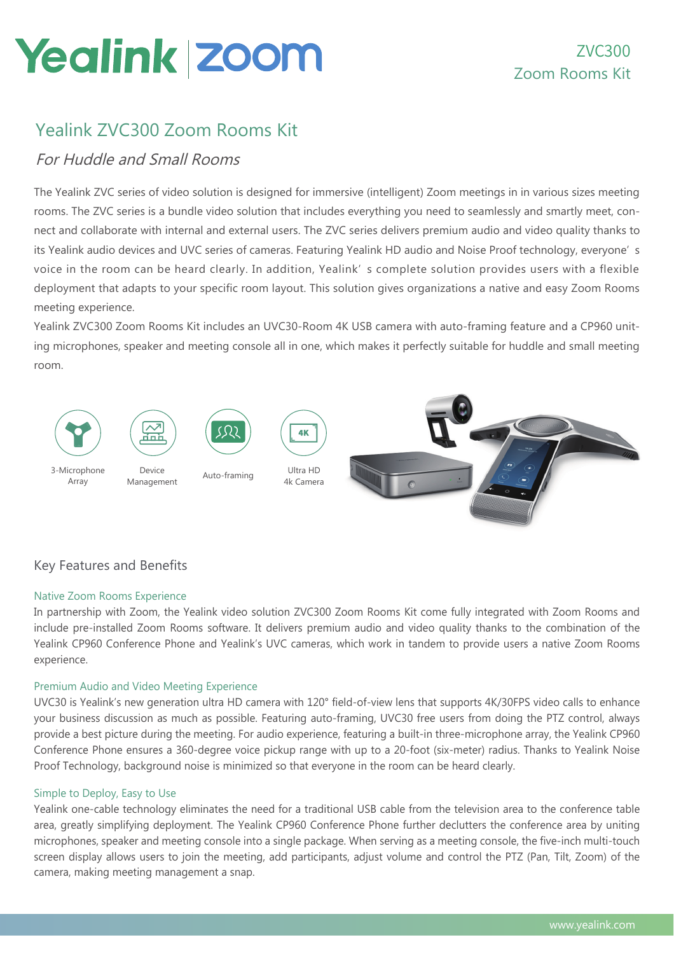# **Yealink zoom**

## Yealink ZVC300 Zoom Rooms Kit

## For Huddle and Small Rooms

The Yealink ZVC series of video solution is designed for immersive (intelligent) Zoom meetings in in various sizes meeting rooms. The ZVC series is a bundle video solution that includes everything you need to seamlessly and smartly meet, connect and collaborate with internal and external users. The ZVC series delivers premium audio and video quality thanks to its Yealink audio devices and UVC series of cameras. Featuring Yealink HD audio and Noise Proof technology, everyone' s voice in the room can be heard clearly. In addition, Yealink' s complete solution provides users with a flexible deployment that adapts to your specific room layout. This solution gives organizations a native and easy Zoom Rooms meeting experience.

Yealink ZVC300 Zoom Rooms Kit includes an UVC30-Room 4K USB camera with auto-framing feature and a CP960 uniting microphones, speaker and meeting console all in one, which makes it perfectly suitable for huddle and small meeting room.



## Key Features and Benefits

## Native Zoom Rooms Experience

In partnership with Zoom, the Yealink video solution ZVC300 Zoom Rooms Kit come fully integrated with Zoom Rooms and include pre-installed Zoom Rooms software. It delivers premium audio and video quality thanks to the combination of the Yealink CP960 Conference Phone and Yealink's UVC cameras, which work in tandem to provide users a native Zoom Rooms experience.

### Premium Audio and Video Meeting Experience

UVC30 is Yealink's new generation ultra HD camera with 120° field-of-view lens that supports 4K/30FPS video calls to enhance your business discussion as much as possible. Featuring auto-framing, UVC30 free users from doing the PTZ control, always provide a best picture during the meeting. For audio experience, featuring a built-in three-microphone array, the Yealink CP960 Conference Phone ensures a 360-degree voice pickup range with up to a 20-foot (six-meter) radius. Thanks to Yealink Noise Proof Technology, background noise is minimized so that everyone in the room can be heard clearly.

### Simple to Deploy, Easy to Use

Yealink one-cable technology eliminates the need for a traditional USB cable from the television area to the conference table area, greatly simplifying deployment. The Yealink CP960 Conference Phone further declutters the conference area by uniting microphones, speaker and meeting console into a single package. When serving as a meeting console, the five-inch multi-touch screen display allows users to join the meeting, add participants, adjust volume and control the PTZ (Pan, Tilt, Zoom) of the camera, making meeting management a snap.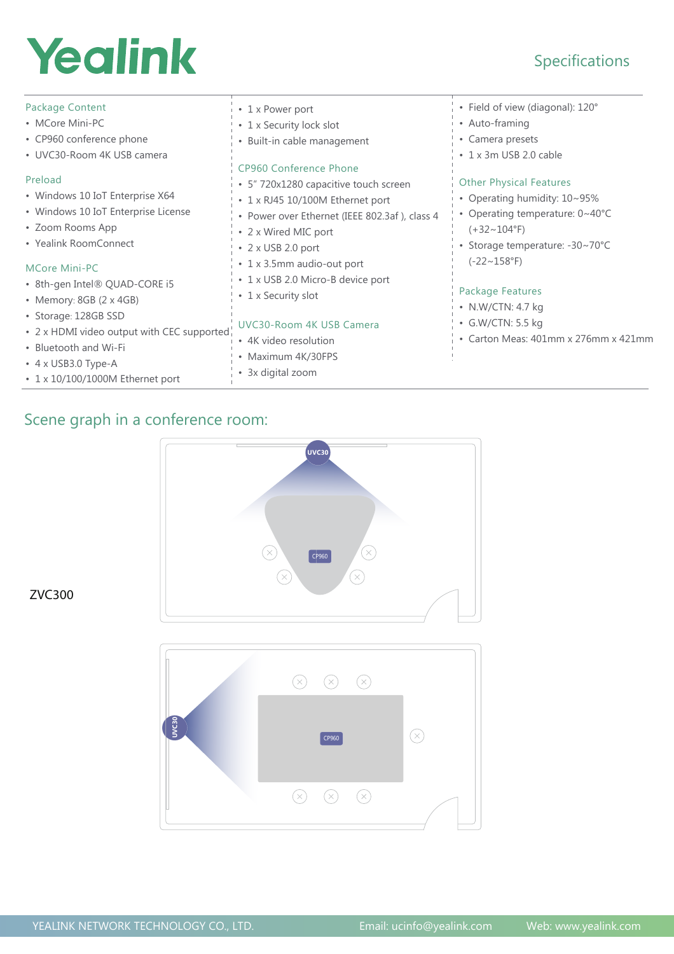# Yealink

## Specifications

| Package Content                            | • 1 x Power port                              | • Field of view (diagonal): 120°     |
|--------------------------------------------|-----------------------------------------------|--------------------------------------|
| • MCore Mini-PC                            | • 1 x Security lock slot                      | • Auto-framing                       |
| • CP960 conference phone                   | • Built-in cable management                   | • Camera presets                     |
| • UVC30-Room 4K USB camera                 |                                               | • 1 x 3m USB 2.0 cable               |
|                                            | CP960 Conference Phone                        |                                      |
| Preload                                    | 5" 720x1280 capacitive touch screen           | <b>Other Physical Features</b>       |
| • Windows 10 IoT Enterprise X64            | • 1 x RJ45 10/100M Ethernet port              | Operating humidity: 10~95%           |
| • Windows 10 IoT Enterprise License        | • Power over Ethernet (IEEE 802.3af), class 4 | Operating temperature: 0~40°C        |
| • Zoom Rooms App                           | 2 x Wired MIC port                            | (+32~104°F)                          |
| • Yealink RoomConnect                      | $\cdot$ 2 x USB 2.0 port                      | Storage temperature: -30~70°C        |
| MCore Mini-PC                              | • 1 x 3.5mm audio-out port                    | $(-22 \sim 158$ °F)                  |
| · 8th-gen Intel® QUAD-CORE i5              | • 1 x USB 2.0 Micro-B device port             |                                      |
| • Memory: $8GB$ (2 x 4GB)                  | 1 x Security slot                             | Package Features                     |
|                                            |                                               | • N.W/CTN: 4.7 kg                    |
| • Storage: 128GB SSD                       | UVC30-Room 4K USB Camera                      | • G.W/CTN: 5.5 kg                    |
| • 2 x HDMI video output with CEC supported | 4K video resolution                           | • Carton Meas: 401mm x 276mm x 421mm |
| • Bluetooth and Wi-Fi                      | Maximum 4K/30FPS                              |                                      |
| $\cdot$ 4 x USB3.0 Type-A                  | $\sim$ $\cdots$ $\cdots$                      |                                      |

• 3x digital zoom

## Scene graph in a conference room:

• 1 x 10/100/1000M Ethernet port

 $\widehat{\left( \times \right)}$  $\left( \nabla \right)$  $CPP60$  $\left( \nabla \right)$ R  $\bigcirc$  $\left( \nabla \right)$  $\circledR$ **UVC30**  $\circledR$  $\boxed{\text{CP960}}$  $\circledR$  $\odot$  $\bigcirc$ 

**UVC30**

ZVC300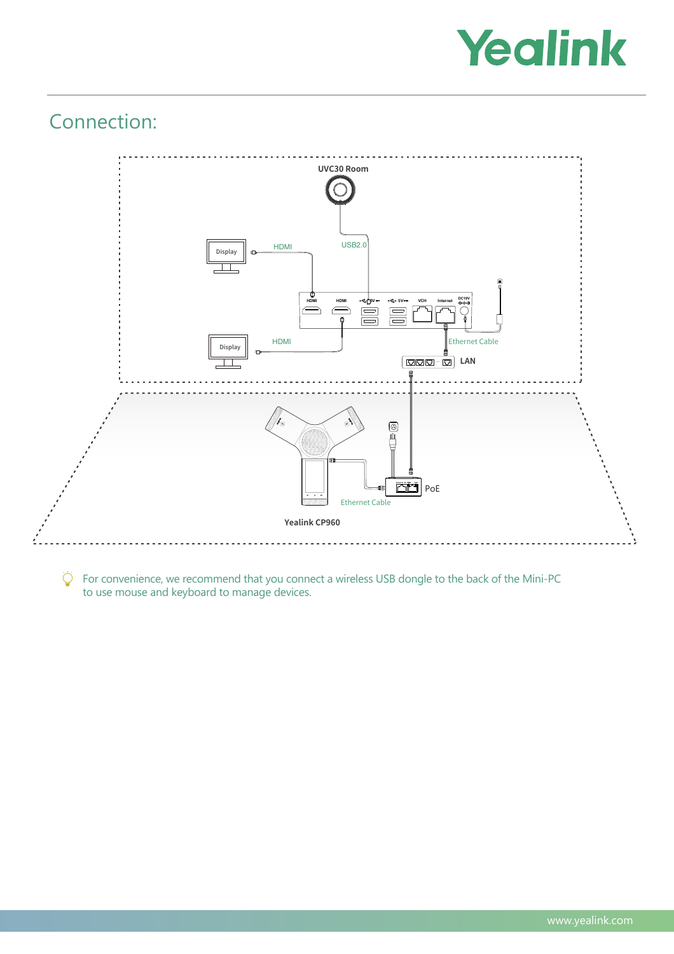

# Connection:



 $\overleftrightarrow{Q}$  For convenience, we recommend that you connect a wireless USB dongle to the back of the Mini-PC to use mouse and keyboard to manage devices.